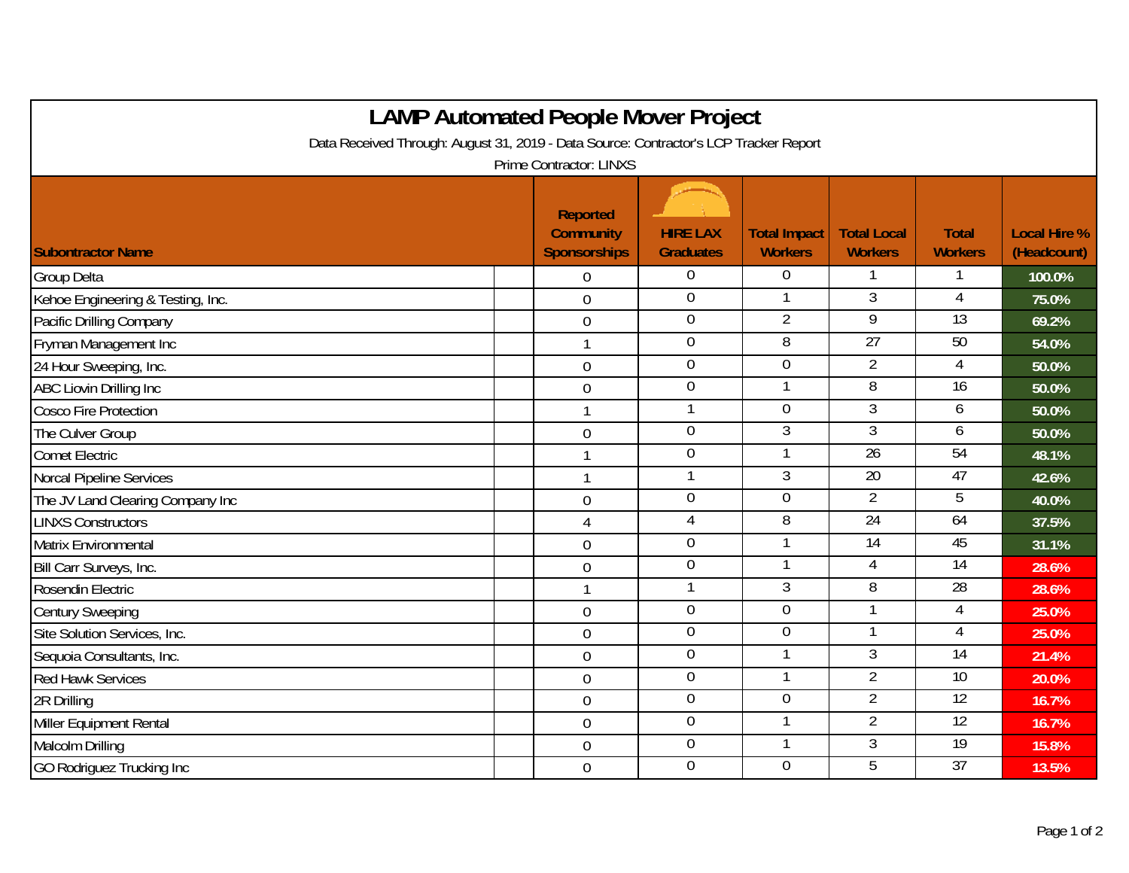| <b>LAMP Automated People Mover Project</b>                                                                       |  |                                         |                                     |                                       |                                      |                                |                                    |  |  |  |  |  |
|------------------------------------------------------------------------------------------------------------------|--|-----------------------------------------|-------------------------------------|---------------------------------------|--------------------------------------|--------------------------------|------------------------------------|--|--|--|--|--|
| Data Received Through: August 31, 2019 - Data Source: Contractor's LCP Tracker Report<br>Prime Contractor: LINXS |  |                                         |                                     |                                       |                                      |                                |                                    |  |  |  |  |  |
|                                                                                                                  |  | <b>Reported</b>                         |                                     |                                       |                                      |                                |                                    |  |  |  |  |  |
| <b>Subontractor Name</b>                                                                                         |  | <b>Community</b><br><b>Sponsorships</b> | <b>HIRE LAX</b><br><b>Graduates</b> | <b>Total Impact</b><br><b>Workers</b> | <b>Total Local</b><br><b>Workers</b> | <b>Total</b><br><b>Workers</b> | <b>Local Hire %</b><br>(Headcount) |  |  |  |  |  |
| <b>Group Delta</b>                                                                                               |  | $\Omega$                                | 0                                   | $\Omega$                              |                                      |                                | 100.0%                             |  |  |  |  |  |
| Kehoe Engineering & Testing, Inc.                                                                                |  | $\overline{0}$                          | $\mathbf 0$                         |                                       | $\overline{3}$                       | 4                              | 75.0%                              |  |  |  |  |  |
| Pacific Drilling Company                                                                                         |  | $\boldsymbol{0}$                        | $\boldsymbol{0}$                    | $\overline{2}$                        | 9                                    | $\overline{13}$                | 69.2%                              |  |  |  |  |  |
| Fryman Management Inc                                                                                            |  | $\mathbf{1}$                            | $\overline{0}$                      | 8                                     | 27                                   | 50                             | 54.0%                              |  |  |  |  |  |
| 24 Hour Sweeping, Inc.                                                                                           |  | $\overline{0}$                          | $\mathbf 0$                         | $\overline{0}$                        | $\overline{2}$                       | 4                              | 50.0%                              |  |  |  |  |  |
| <b>ABC Liovin Drilling Inc</b>                                                                                   |  | $\overline{0}$                          | $\mathbf 0$                         | $\mathbf{1}$                          | 8                                    | 16                             | 50.0%                              |  |  |  |  |  |
| <b>Cosco Fire Protection</b>                                                                                     |  | $\mathbf{1}$                            | 1                                   | $\overline{0}$                        | 3                                    | 6                              | 50.0%                              |  |  |  |  |  |
| The Culver Group                                                                                                 |  | $\mathbf 0$                             | $\mathbf 0$                         | 3                                     | $\overline{3}$                       | 6                              | 50.0%                              |  |  |  |  |  |
| <b>Comet Electric</b>                                                                                            |  | $\mathbf{1}$                            | $\overline{0}$                      |                                       | 26                                   | 54                             | 48.1%                              |  |  |  |  |  |
| Norcal Pipeline Services                                                                                         |  | $\mathbf{1}$                            | $\mathbf{1}$                        | $\mathfrak{Z}$                        | 20                                   | 47                             | 42.6%                              |  |  |  |  |  |
| The JV Land Clearing Company Inc                                                                                 |  | $\mathbf 0$                             | $\overline{0}$                      | $\overline{0}$                        | $\overline{2}$                       | 5                              | 40.0%                              |  |  |  |  |  |
| <b>LINXS Constructors</b>                                                                                        |  | $\overline{4}$                          | $\overline{4}$                      | $\overline{8}$                        | 24                                   | 64                             | 37.5%                              |  |  |  |  |  |
| <b>Matrix Environmental</b>                                                                                      |  | $\overline{0}$                          | $\overline{0}$                      | $\mathbf{1}$                          | 14                                   | 45                             | 31.1%                              |  |  |  |  |  |
| Bill Carr Surveys, Inc.                                                                                          |  | $\mathbf 0$                             | $\boldsymbol{0}$                    |                                       | 4                                    | 14                             | 28.6%                              |  |  |  |  |  |
| Rosendin Electric                                                                                                |  | $\mathbf{1}$                            | $\mathbf{1}$                        | 3                                     | 8                                    | $\overline{28}$                | 28.6%                              |  |  |  |  |  |
| <b>Century Sweeping</b>                                                                                          |  | $\mathbf 0$                             | $\boldsymbol{0}$                    | $\overline{0}$                        |                                      | 4                              | 25.0%                              |  |  |  |  |  |
| Site Solution Services, Inc.                                                                                     |  | $\overline{0}$                          | $\mathbf 0$                         | $\mathbf 0$                           | 1                                    | 4                              | 25.0%                              |  |  |  |  |  |
| Sequoia Consultants, Inc.                                                                                        |  | $\mathbf 0$                             | $\overline{0}$                      |                                       | $\overline{3}$                       | $\overline{14}$                | 21.4%                              |  |  |  |  |  |
| <b>Red Hawk Services</b>                                                                                         |  | $\mathbf 0$                             | $\mathbf 0$                         | $\mathbf 1$                           | $\overline{2}$                       | 10                             | 20.0%                              |  |  |  |  |  |
| 2R Drilling                                                                                                      |  | $\boldsymbol{0}$                        | $\overline{0}$                      | $\overline{0}$                        | $\overline{2}$                       | 12                             | 16.7%                              |  |  |  |  |  |
| Miller Equipment Rental                                                                                          |  | $\mathbf 0$                             | $\mathbf 0$                         |                                       | $\overline{2}$                       | $\overline{12}$                | 16.7%                              |  |  |  |  |  |
| Malcolm Drilling                                                                                                 |  | $\mathbf 0$                             | $\overline{0}$                      |                                       | $\overline{3}$                       | 19                             | 15.8%                              |  |  |  |  |  |
| <b>GO Rodriguez Trucking Inc</b>                                                                                 |  | $\mathbf 0$                             | $\mathbf 0$                         | $\overline{0}$                        | 5                                    | $\overline{37}$                | 13.5%                              |  |  |  |  |  |